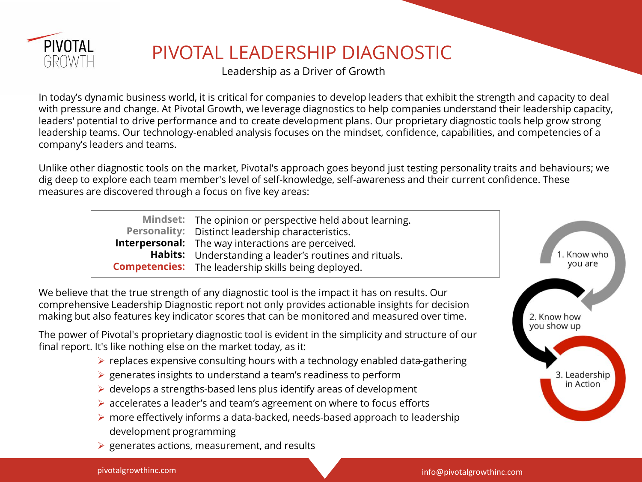

## PIVOTAL LEADERSHIP DIAGNOSTIC

Leadership as a Driver of Growth

In today's dynamic business world, it is critical for companies to develop leaders that exhibit the strength and capacity to deal with pressure and change. At Pivotal Growth, we leverage diagnostics to help companies understand their leadership capacity, leaders' potential to drive performance and to create development plans. Our proprietary diagnostic tools help grow strong leadership teams. Our technology-enabled analysis focuses on the mindset, confidence, capabilities, and competencies of a company's leaders and teams.

Unlike other diagnostic tools on the market, Pivotal's approach goes beyond just testing personality traits and behaviours; we dig deep to explore each team member's level of self-knowledge, self-awareness and their current confidence. These measures are discovered through a focus on five key areas:

| <b>Personality:</b><br>Habits:<br><b>Competencies:</b> | Mindset: The opinion or perspective held about learning.<br>Distinct leadership characteristics.<br><b>Interpersonal:</b> The way interactions are perceived.<br>Understanding a leader's routines and rituals.<br>The leadership skills being deployed.                                                                                                                                                                                                                                                                                                                                                                                     | 1. Know who<br>you are     |
|--------------------------------------------------------|----------------------------------------------------------------------------------------------------------------------------------------------------------------------------------------------------------------------------------------------------------------------------------------------------------------------------------------------------------------------------------------------------------------------------------------------------------------------------------------------------------------------------------------------------------------------------------------------------------------------------------------------|----------------------------|
|                                                        | We believe that the true strength of any diagnostic tool is the impact it has on results. Our<br>comprehensive Leadership Diagnostic report not only provides actionable insights for decision<br>making but also features key indicator scores that can be monitored and measured over time.                                                                                                                                                                                                                                                                                                                                                | 2. Know how<br>you show up |
| development programming                                | The power of Pivotal's proprietary diagnostic tool is evident in the simplicity and structure of our<br>final report. It's like nothing else on the market today, as it:<br>$\triangleright$ replaces expensive consulting hours with a technology enabled data-gathering<br>$\triangleright$ generates insights to understand a team's readiness to perform<br>$\triangleright$ develops a strengths-based lens plus identify areas of development<br>$\triangleright$ accelerates a leader's and team's agreement on where to focus efforts<br>$\triangleright$ more effectively informs a data-backed, needs-based approach to leadership | 3. Leadership<br>in Action |

 $\triangleright$  generates actions, measurement, and results